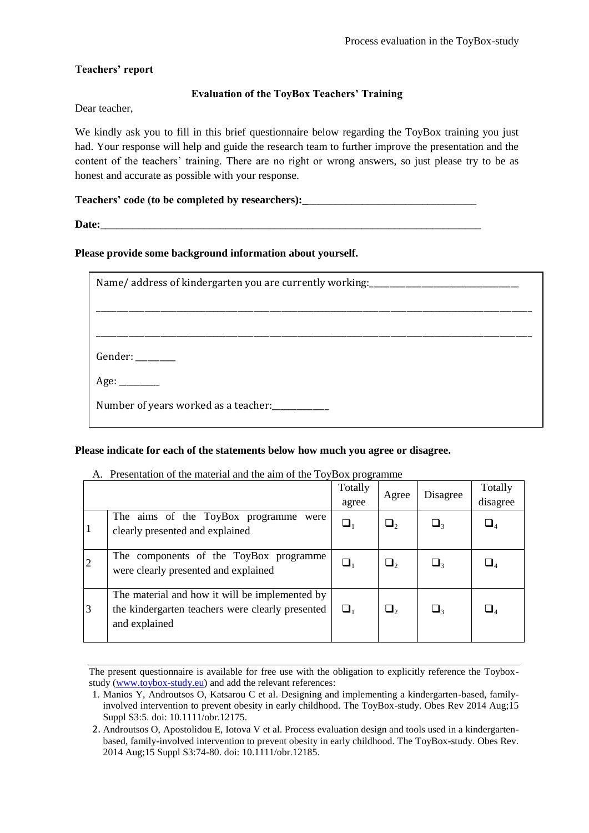# **Teachers' report**

# **Evaluation of the ToyBox Teachers' Training**

Dear teacher,

We kindly ask you to fill in this brief questionnaire below regarding the ToyBox training you just had. Your response will help and guide the research team to further improve the presentation and the content of the teachers' training. There are no right or wrong answers, so just please try to be as honest and accurate as possible with your response.

# **Teachers' code (to be completed by researchers):\_**\_\_\_\_\_\_\_\_\_\_\_\_\_\_\_\_\_\_\_\_\_\_\_\_\_\_\_\_\_\_\_

**Date:**\_\_\_\_\_\_\_\_\_\_\_\_\_\_\_\_\_\_\_\_\_\_\_\_\_\_\_\_\_\_\_\_\_\_\_\_\_\_\_\_\_\_\_\_\_\_\_\_\_\_\_\_\_\_\_\_\_\_\_\_\_\_\_\_\_\_\_\_\_\_

### **Please provide some background information about yourself.**

| Name/address of kindergarten you are currently working: |
|---------------------------------------------------------|
|                                                         |
|                                                         |
|                                                         |
| Gender: _______                                         |
|                                                         |
|                                                         |

### **Please indicate for each of the statements below how much you agree or disagree.**

#### A. Presentation of the material and the aim of the ToyBox programme

|    |                                                                                                                     | Totally<br>agree | Agree | Disagree                                | Totally<br>disagree |
|----|---------------------------------------------------------------------------------------------------------------------|------------------|-------|-----------------------------------------|---------------------|
| 11 | The aims of the ToyBox programme were<br>clearly presented and explained                                            | $\sqcup_1$       | ر آ   | $\sqcup_{\scriptscriptstyle\mathsf{R}}$ |                     |
| 12 | The components of the ToyBox programme<br>were clearly presented and explained                                      |                  | پ ا   | $\sqcup_{\scriptscriptstyle\mathsf{R}}$ |                     |
| 3  | The material and how it will be implemented by<br>the kindergarten teachers were clearly presented<br>and explained |                  | Ш۰    | ہ L                                     |                     |

The present questionnaire is available for free use with the obligation to explicitly reference the Toyboxstudy (www.toybox-study.eu) and add the relevant references:

<sup>1.</sup> Manios Y, Androutsos O, Katsarou C et al. Designing and implementing a kindergarten-based, familyinvolved intervention to prevent obesity in early childhood. The ToyBox-study. Obes Rev 2014 Aug;15 Suppl S3:5. doi: 10.1111/obr.12175.

<sup>2.</sup> Androutsos O, Apostolidou E, Iotova V et al. Process evaluation design and tools used in a kindergartenbased, family-involved intervention to prevent obesity in early childhood. The ToyBox-study. Obes Rev. 2014 Aug;15 Suppl S3:74-80. doi: 10.1111/obr.12185.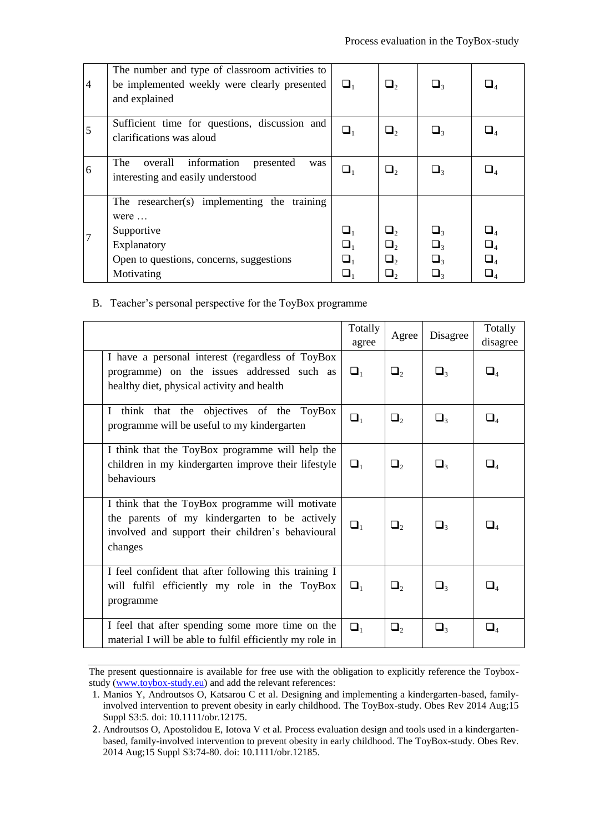| $\overline{4}$ | The number and type of classroom activities to<br>be implemented weekly were clearly presented<br>and explained                                    | $\Box_1$                         | $\Box$                                   | $\sqcup$ <sub>3</sub>                        |                                                                                  |
|----------------|----------------------------------------------------------------------------------------------------------------------------------------------------|----------------------------------|------------------------------------------|----------------------------------------------|----------------------------------------------------------------------------------|
| 5              | Sufficient time for questions, discussion and<br>clarifications was aloud                                                                          | $\Box_1$                         | $\Box_2$                                 | $\sqcup$                                     |                                                                                  |
| 6              | The<br>overall<br>information<br>presented<br>was<br>interesting and easily understood                                                             | $\Box_1$                         | $\Box$ ,                                 | ⊔∢                                           |                                                                                  |
|                | The researcher(s) implementing the training<br>were $\dots$<br>Supportive<br>Explanatory<br>Open to questions, concerns, suggestions<br>Motivating | $\Box_1$<br>$\Box_1$<br>$\Box_1$ | $\Box$<br>$\Box$ ,<br>$\Box$<br>$\Box_2$ | $\sqcup_{3}$<br>$\Box$<br>$\Box$<br>$\Box_3$ | $\sqcup_{\scriptscriptstyle{A}}$<br>$\Box_{\scriptscriptstyle{A}}$<br>$\sqcup_4$ |

B. Teacher's personal perspective for the ToyBox programme

|                                                                                                                                                                  | Totally<br>agree | Agree    | Disagree | Totally<br>disagree |
|------------------------------------------------------------------------------------------------------------------------------------------------------------------|------------------|----------|----------|---------------------|
| I have a personal interest (regardless of ToyBox<br>programme) on the issues addressed such as<br>healthy diet, physical activity and health                     | $\Box_1$         | $\Box_2$ | $\Box_3$ | $\Box_4$            |
| think that the objectives of the ToyBox<br>$\mathbf{I}$<br>programme will be useful to my kindergarten                                                           | $\Box_1$         | $\Box_2$ | $\Box_3$ | $\Box_4$            |
| I think that the ToyBox programme will help the<br>children in my kindergarten improve their lifestyle<br>behaviours                                             | $\Box_1$         | $\Box_2$ | $\Box_3$ | $\square_4$         |
| I think that the ToyBox programme will motivate<br>the parents of my kindergarten to be actively<br>involved and support their children's behavioural<br>changes | $\Box_1$         | $\Box_2$ | $\Box_3$ | $\square_4$         |
| I feel confident that after following this training I<br>will fulfil efficiently my role in the ToyBox<br>programme                                              | $\Box_1$         | $\Box_2$ | $\Box_3$ | $\square_4$         |
| I feel that after spending some more time on the<br>material I will be able to fulfil efficiently my role in                                                     | $\Box_1$         | $\Box_2$ | $\Box$   | $\square_4$         |

The present questionnaire is available for free use with the obligation to explicitly reference the Toyboxstudy (www.toybox-study.eu) and add the relevant references:

<sup>1.</sup> Manios Y, Androutsos O, Katsarou C et al. Designing and implementing a kindergarten-based, familyinvolved intervention to prevent obesity in early childhood. The ToyBox-study. Obes Rev 2014 Aug;15 Suppl S3:5. doi: 10.1111/obr.12175.

<sup>2.</sup> Androutsos O, Apostolidou E, Iotova V et al. Process evaluation design and tools used in a kindergartenbased, family-involved intervention to prevent obesity in early childhood. The ToyBox-study. Obes Rev. 2014 Aug;15 Suppl S3:74-80. doi: 10.1111/obr.12185.